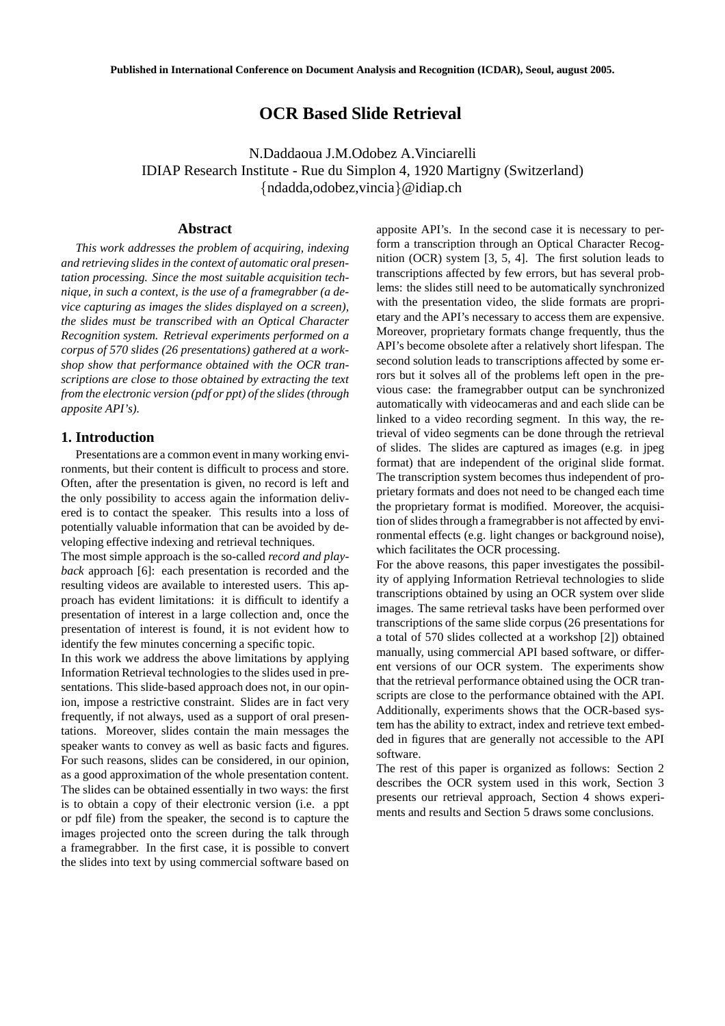# **OCR Based Slide Retrieval**

N.Daddaoua J.M.Odobez A.Vinciarelli IDIAP Research Institute - Rue du Simplon 4, 1920 Martigny (Switzerland) {ndadda,odobez,vincia}@idiap.ch

#### **Abstract**

*This work addresses the problem of acquiring, indexing and retrieving slides in the context of automatic oral presentation processing. Since the most suitable acquisition technique, in such a context, is the use of a framegrabber (a device capturing as images the slides displayed on a screen), the slides must be transcribed with an Optical Character Recognition system. Retrieval experiments performed on a corpus of 570 slides (26 presentations) gathered at a workshop show that performance obtained with the OCR transcriptions are close to those obtained by extracting the text from the electronic version (pdf or ppt) of the slides (through apposite API's).*

# **1. Introduction**

Presentations are a common event in many working environments, but their content is difficult to process and store. Often, after the presentation is given, no record is left and the only possibility to access again the information delivered is to contact the speaker. This results into a loss of potentially valuable information that can be avoided by developing effective indexing and retrieval techniques.

The most simple approach is the so-called *record and playback* approach [6]: each presentation is recorded and the resulting videos are available to interested users. This approach has evident limitations: it is difficult to identify a presentation of interest in a large collection and, once the presentation of interest is found, it is not evident how to identify the few minutes concerning a specific topic.

In this work we address the above limitations by applying Information Retrieval technologies to the slides used in presentations. This slide-based approach does not, in our opinion, impose a restrictive constraint. Slides are in fact very frequently, if not always, used as a support of oral presentations. Moreover, slides contain the main messages the speaker wants to convey as well as basic facts and figures. For such reasons, slides can be considered, in our opinion, as a good approximation of the whole presentation content. The slides can be obtained essentially in two ways: the first is to obtain a copy of their electronic version (i.e. a ppt or pdf file) from the speaker, the second is to capture the images projected onto the screen during the talk through a framegrabber. In the first case, it is possible to convert the slides into text by using commercial software based on apposite API's. In the second case it is necessary to perform a transcription through an Optical Character Recognition (OCR) system [3, 5, 4]. The first solution leads to transcriptions affected by few errors, but has several problems: the slides still need to be automatically synchronized with the presentation video, the slide formats are proprietary and the API's necessary to access them are expensive. Moreover, proprietary formats change frequently, thus the API's become obsolete after a relatively short lifespan. The second solution leads to transcriptions affected by some errors but it solves all of the problems left open in the previous case: the framegrabber output can be synchronized automatically with videocameras and and each slide can be linked to a video recording segment. In this way, the retrieval of video segments can be done through the retrieval of slides. The slides are captured as images (e.g. in jpeg format) that are independent of the original slide format. The transcription system becomes thus independent of proprietary formats and does not need to be changed each time the proprietary format is modified. Moreover, the acquisition of slides through a framegrabber is not affected by environmental effects (e.g. light changes or background noise), which facilitates the OCR processing.

For the above reasons, this paper investigates the possibility of applying Information Retrieval technologies to slide transcriptions obtained by using an OCR system over slide images. The same retrieval tasks have been performed over transcriptions of the same slide corpus (26 presentations for a total of 570 slides collected at a workshop [2]) obtained manually, using commercial API based software, or different versions of our OCR system. The experiments show that the retrieval performance obtained using the OCR transcripts are close to the performance obtained with the API. Additionally, experiments shows that the OCR-based system has the ability to extract, index and retrieve text embedded in figures that are generally not accessible to the API software.

The rest of this paper is organized as follows: Section 2 describes the OCR system used in this work, Section 3 presents our retrieval approach, Section 4 shows experiments and results and Section 5 draws some conclusions.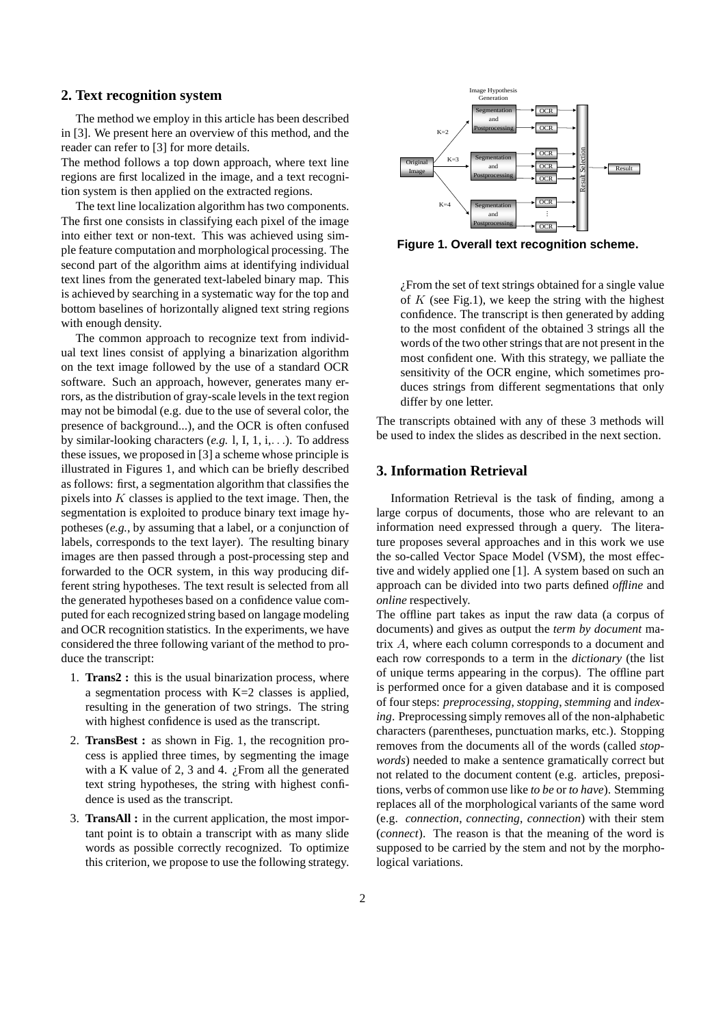# **2. Text recognition system**

The method we employ in this article has been described in [3]. We present here an overview of this method, and the reader can refer to [3] for more details.

The method follows a top down approach, where text line regions are first localized in the image, and a text recognition system is then applied on the extracted regions.

The text line localization algorithm has two components. The first one consists in classifying each pixel of the image into either text or non-text. This was achieved using simple feature computation and morphological processing. The second part of the algorithm aims at identifying individual text lines from the generated text-labeled binary map. This is achieved by searching in a systematic way for the top and bottom baselines of horizontally aligned text string regions with enough density.

The common approach to recognize text from individual text lines consist of applying a binarization algorithm on the text image followed by the use of a standard OCR software. Such an approach, however, generates many errors, as the distribution of gray-scale levels in the text region may not be bimodal (e.g. due to the use of several color, the presence of background...), and the OCR is often confused by similar-looking characters (*e.g.* l, I, 1, i,. . .). To address these issues, we proposed in [3] a scheme whose principle is illustrated in Figures 1, and which can be briefly described as follows: first, a segmentation algorithm that classifies the pixels into  $K$  classes is applied to the text image. Then, the segmentation is exploited to produce binary text image hypotheses (*e.g.*, by assuming that a label, or a conjunction of labels, corresponds to the text layer). The resulting binary images are then passed through a post-processing step and forwarded to the OCR system, in this way producing different string hypotheses. The text result is selected from all the generated hypotheses based on a confidence value computed for each recognized string based on langage modeling and OCR recognition statistics. In the experiments, we have considered the three following variant of the method to produce the transcript:

- 1. **Trans2 :** this is the usual binarization process, where a segmentation process with  $K=2$  classes is applied, resulting in the generation of two strings. The string with highest confidence is used as the transcript.
- 2. **TransBest :** as shown in Fig. 1, the recognition process is applied three times, by segmenting the image with a K value of 2, 3 and 4.  $i$ From all the generated text string hypotheses, the string with highest confidence is used as the transcript.
- 3. **TransAll :** in the current application, the most important point is to obtain a transcript with as many slide words as possible correctly recognized. To optimize this criterion, we propose to use the following strategy.



**Figure 1. Overall text recognition scheme.**

¿From the set of text strings obtained for a single value of  $K$  (see Fig.1), we keep the string with the highest confidence. The transcript is then generated by adding to the most confident of the obtained 3 strings all the words of the two other strings that are not present in the most confident one. With this strategy, we palliate the sensitivity of the OCR engine, which sometimes produces strings from different segmentations that only differ by one letter.

The transcripts obtained with any of these 3 methods will be used to index the slides as described in the next section.

# **3. Information Retrieval**

Information Retrieval is the task of finding, among a large corpus of documents, those who are relevant to an information need expressed through a query. The literature proposes several approaches and in this work we use the so-called Vector Space Model (VSM), the most effective and widely applied one [1]. A system based on such an approach can be divided into two parts defined *offline* and *online* respectively.

The offline part takes as input the raw data (a corpus of documents) and gives as output the *term by document* matrix A, where each column corresponds to a document and each row corresponds to a term in the *dictionary* (the list of unique terms appearing in the corpus). The offline part is performed once for a given database and it is composed of four steps: *preprocessing*, *stopping*, *stemming* and *indexing*. Preprocessing simply removes all of the non-alphabetic characters (parentheses, punctuation marks, etc.). Stopping removes from the documents all of the words (called *stopwords*) needed to make a sentence gramatically correct but not related to the document content (e.g. articles, prepositions, verbs of common use like *to be* or *to have*). Stemming replaces all of the morphological variants of the same word (e.g. *connection*, *connecting*, *connection*) with their stem (*connect*). The reason is that the meaning of the word is supposed to be carried by the stem and not by the morphological variations.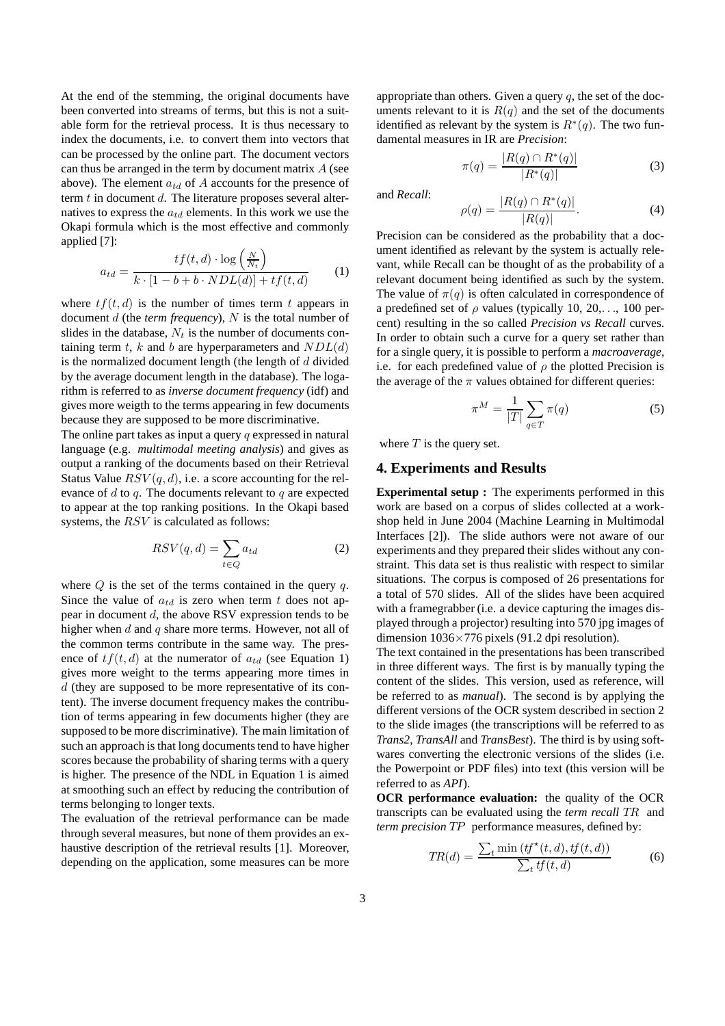At the end of the stemming, the original documents have been converted into streams of terms, but this is not a suitable form for the retrieval process. It is thus necessary to index the documents, i.e. to convert them into vectors that can be processed by the online part. The document vectors can thus be arranged in the term by document matrix  $A$  (see above). The element  $a_{td}$  of A accounts for the presence of term  $t$  in document  $d$ . The literature proposes several alternatives to express the  $a_{td}$  elements. In this work we use the Okapi formula which is the most effective and commonly applied [7]:

$$
a_{td} = \frac{tf(t,d) \cdot \log\left(\frac{N}{N_t}\right)}{k \cdot [1 - b + b \cdot NDL(d)] + tf(t,d)}\tag{1}
$$

where  $tf(t, d)$  is the number of times term t appears in document d (the *term frequency*), N is the total number of slides in the database,  $N_t$  is the number of documents containing term t, k and b are hyperparameters and  $NDL(d)$ is the normalized document length (the length of  $d$  divided by the average document length in the database). The logarithm is referred to as *inverse document frequency* (idf) and gives more weigth to the terms appearing in few documents because they are supposed to be more discriminative.

The online part takes as input a query  $q$  expressed in natural language (e.g. *multimodal meeting analysis*) and gives as output a ranking of the documents based on their Retrieval Status Value  $RSV(q, d)$ , i.e. a score accounting for the relevance of  $d$  to  $q$ . The documents relevant to  $q$  are expected to appear at the top ranking positions. In the Okapi based systems, the RSV is calculated as follows:

$$
RSV(q, d) = \sum_{t \in Q} a_{td} \tag{2}
$$

where  $Q$  is the set of the terms contained in the query  $q$ . Since the value of  $a_{td}$  is zero when term t does not appear in document d, the above RSV expression tends to be higher when  $d$  and  $q$  share more terms. However, not all of the common terms contribute in the same way. The presence of  $tf(t, d)$  at the numerator of  $a_{td}$  (see Equation 1) gives more weight to the terms appearing more times in  $d$  (they are supposed to be more representative of its content). The inverse document frequency makes the contribution of terms appearing in few documents higher (they are supposed to be more discriminative). The main limitation of such an approach is that long documents tend to have higher scores because the probability of sharing terms with a query is higher. The presence of the NDL in Equation 1 is aimed at smoothing such an effect by reducing the contribution of terms belonging to longer texts.

The evaluation of the retrieval performance can be made through several measures, but none of them provides an exhaustive description of the retrieval results [1]. Moreover, depending on the application, some measures can be more appropriate than others. Given a query  $q$ , the set of the documents relevant to it is  $R(q)$  and the set of the documents identified as relevant by the system is  $R^*(q)$ . The two fundamental measures in IR are *Precision*:

$$
\pi(q) = \frac{|R(q) \cap R^*(q)|}{|R^*(q)|} \tag{3}
$$

and *Recall*:

$$
\rho(q) = \frac{|R(q) \cap R^*(q)|}{|R(q)|}.
$$
\n(4)

Precision can be considered as the probability that a document identified as relevant by the system is actually relevant, while Recall can be thought of as the probability of a relevant document being identified as such by the system. The value of  $\pi(q)$  is often calculated in correspondence of a predefined set of  $\rho$  values (typically 10, 20,..., 100 percent) resulting in the so called *Precision vs Recall* curves. In order to obtain such a curve for a query set rather than for a single query, it is possible to perform a *macroaverage*, i.e. for each predefined value of  $\rho$  the plotted Precision is the average of the  $\pi$  values obtained for different queries:

$$
\pi^M = \frac{1}{|T|} \sum_{q \in T} \pi(q) \tag{5}
$$

where  $T$  is the query set.

# **4. Experiments and Results**

**Experimental setup :** The experiments performed in this work are based on a corpus of slides collected at a workshop held in June 2004 (Machine Learning in Multimodal Interfaces [2]). The slide authors were not aware of our experiments and they prepared their slides without any constraint. This data set is thus realistic with respect to similar situations. The corpus is composed of 26 presentations for a total of 570 slides. All of the slides have been acquired with a framegrabber (i.e. a device capturing the images displayed through a projector) resulting into 570 jpg images of dimension  $1036 \times 776$  pixels (91.2 dpi resolution).

The text contained in the presentations has been transcribed in three different ways. The first is by manually typing the content of the slides. This version, used as reference, will be referred to as *manual*). The second is by applying the different versions of the OCR system described in section 2 to the slide images (the transcriptions will be referred to as *Trans2*, *TransAll* and *TransBest*). The third is by using softwares converting the electronic versions of the slides (i.e. the Powerpoint or PDF files) into text (this version will be referred to as *API*).

**OCR performance evaluation:** the quality of the OCR transcripts can be evaluated using the *term recall* TR and *term precision* TP performance measures, defined by:

$$
TR(d) = \frac{\sum_{t} \min\left(tf^*(t, d), tf(t, d)\right)}{\sum_{t} tf(t, d)}
$$
(6)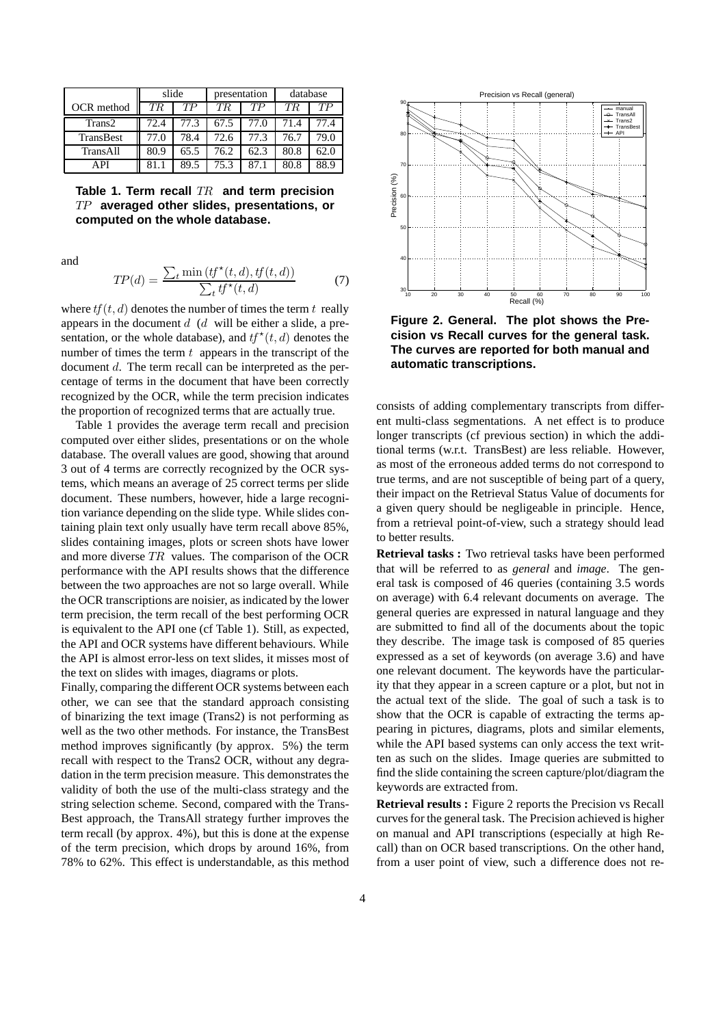|            | slide |      | presentation |      | database |      |
|------------|-------|------|--------------|------|----------|------|
| OCR method | TR.   | TP   | TR.          | ТP   | TR.      | TP   |
| Trans2     | 72.4  | 77.3 | 67.5         | 77.0 | 71.4     | 77.4 |
| TransBest  | 77.0  | 78.4 | 72.6         | 77.3 | 76.7     | 79.0 |
| TransAll   | 80.9  | 65.5 | 76.2         | 62.3 | 80.8     | 62.0 |
| API        | 81.1  | 89.5 | 75.3         | 87.1 | 80.8     | 88.9 |

**Table 1. Term recall** TR **and term precision** TP **averaged other slides, presentations, or computed on the whole database.**

and

$$
TP(d) = \frac{\sum_{t} \min\left(tf^*(t, d), tf(t, d)\right)}{\sum_{t} tf^*(t, d)}
$$
(7)

where  $tf(t, d)$  denotes the number of times the term t really appears in the document  $d$  ( $d$  will be either a slide, a presentation, or the whole database), and  $tf^*(t, d)$  denotes the number of times the term  $t_1$  appears in the transcript of the document d. The term recall can be interpreted as the percentage of terms in the document that have been correctly recognized by the OCR, while the term precision indicates the proportion of recognized terms that are actually true.

Table 1 provides the average term recall and precision computed over either slides, presentations or on the whole database. The overall values are good, showing that around 3 out of 4 terms are correctly recognized by the OCR systems, which means an average of 25 correct terms per slide document. These numbers, however, hide a large recognition variance depending on the slide type. While slides containing plain text only usually have term recall above 85%, slides containing images, plots or screen shots have lower and more diverse TR values. The comparison of the OCR performance with the API results shows that the difference between the two approaches are not so large overall. While the OCR transcriptions are noisier, as indicated by the lower term precision, the term recall of the best performing OCR is equivalent to the API one (cf Table 1). Still, as expected, the API and OCR systems have different behaviours. While the API is almost error-less on text slides, it misses most of the text on slides with images, diagrams or plots.

Finally, comparing the different OCR systems between each other, we can see that the standard approach consisting of binarizing the text image (Trans2) is not performing as well as the two other methods. For instance, the TransBest method improves significantly (by approx. 5%) the term recall with respect to the Trans2 OCR, without any degradation in the term precision measure. This demonstrates the validity of both the use of the multi-class strategy and the string selection scheme. Second, compared with the Trans-Best approach, the TransAll strategy further improves the term recall (by approx. 4%), but this is done at the expense of the term precision, which drops by around 16%, from 78% to 62%. This effect is understandable, as this method



**Figure 2. General. The plot shows the Precision vs Recall curves for the general task. The curves are reported for both manual and automatic transcriptions.**

consists of adding complementary transcripts from different multi-class segmentations. A net effect is to produce longer transcripts (cf previous section) in which the additional terms (w.r.t. TransBest) are less reliable. However, as most of the erroneous added terms do not correspond to true terms, and are not susceptible of being part of a query, their impact on the Retrieval Status Value of documents for a given query should be negligeable in principle. Hence, from a retrieval point-of-view, such a strategy should lead to better results.

**Retrieval tasks :** Two retrieval tasks have been performed that will be referred to as *general* and *image*. The general task is composed of 46 queries (containing 3.5 words on average) with 6.4 relevant documents on average. The general queries are expressed in natural language and they are submitted to find all of the documents about the topic they describe. The image task is composed of 85 queries expressed as a set of keywords (on average 3.6) and have one relevant document. The keywords have the particularity that they appear in a screen capture or a plot, but not in the actual text of the slide. The goal of such a task is to show that the OCR is capable of extracting the terms appearing in pictures, diagrams, plots and similar elements, while the API based systems can only access the text written as such on the slides. Image queries are submitted to find the slide containing the screen capture/plot/diagram the keywords are extracted from.

**Retrieval results :** Figure 2 reports the Precision vs Recall curves for the general task. The Precision achieved is higher on manual and API transcriptions (especially at high Recall) than on OCR based transcriptions. On the other hand, from a user point of view, such a difference does not re-